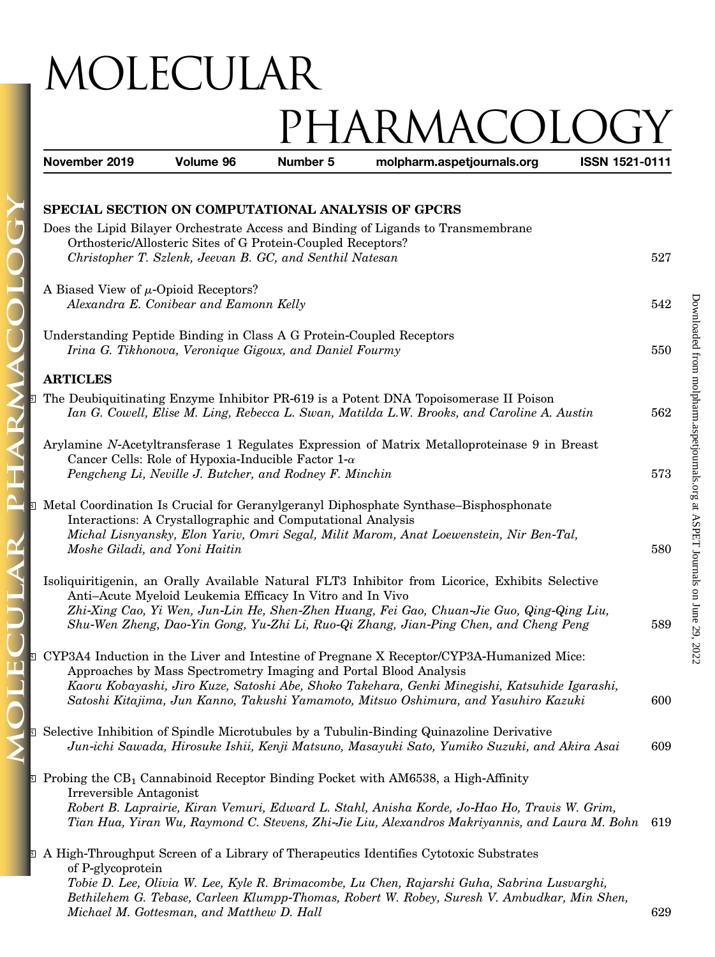## MOLECULAR PHARMACOL

| November 2019                                                        | Volume 96                                 | Number 5                                                     | molpharm.aspetjournals.org                                                                                                                                    | ISSN 1521-0111 |     |
|----------------------------------------------------------------------|-------------------------------------------|--------------------------------------------------------------|---------------------------------------------------------------------------------------------------------------------------------------------------------------|----------------|-----|
| SPECIAL SECTION ON COMPUTATIONAL ANALYSIS OF GPCRS                   |                                           |                                                              |                                                                                                                                                               |                |     |
|                                                                      |                                           |                                                              | Does the Lipid Bilayer Orchestrate Access and Binding of Ligands to Transmembrane                                                                             |                |     |
|                                                                      |                                           | Orthosteric/Allosteric Sites of G Protein-Coupled Receptors? |                                                                                                                                                               |                |     |
|                                                                      |                                           | Christopher T. Szlenk, Jeevan B. GC, and Senthil Natesan     |                                                                                                                                                               |                | 527 |
|                                                                      |                                           |                                                              |                                                                                                                                                               |                |     |
| A Biased View of $\mu$ -Opioid Receptors?                            |                                           |                                                              |                                                                                                                                                               |                |     |
|                                                                      | Alexandra E. Conibear and Eamonn Kelly    |                                                              |                                                                                                                                                               |                | 542 |
|                                                                      |                                           |                                                              |                                                                                                                                                               |                |     |
| Understanding Peptide Binding in Class A G Protein-Coupled Receptors |                                           |                                                              |                                                                                                                                                               |                |     |
|                                                                      |                                           | Irina G. Tikhonova, Veronique Gigoux, and Daniel Fourmy      |                                                                                                                                                               |                | 550 |
|                                                                      |                                           |                                                              |                                                                                                                                                               |                |     |
| <b>ARTICLES</b>                                                      |                                           |                                                              |                                                                                                                                                               |                |     |
|                                                                      |                                           |                                                              | The Deubiquitinating Enzyme Inhibitor PR-619 is a Potent DNA Topoisomerase II Poison                                                                          |                |     |
|                                                                      |                                           |                                                              | Ian G. Cowell, Elise M. Ling, Rebecca L. Swan, Matilda L.W. Brooks, and Caroline A. Austin                                                                    |                | 562 |
|                                                                      |                                           |                                                              |                                                                                                                                                               |                |     |
|                                                                      |                                           | Cancer Cells: Role of Hypoxia-Inducible Factor $1-\alpha$    | Arylamine N-Acetyltransferase 1 Regulates Expression of Matrix Metalloproteinase 9 in Breast                                                                  |                |     |
|                                                                      |                                           | Pengcheng Li, Neville J. Butcher, and Rodney F. Minchin      |                                                                                                                                                               |                | 573 |
|                                                                      |                                           |                                                              |                                                                                                                                                               |                |     |
|                                                                      |                                           |                                                              | Metal Coordination Is Crucial for Geranylgeranyl Diphosphate Synthase–Bisphosphonate                                                                          |                |     |
|                                                                      |                                           | Interactions: A Crystallographic and Computational Analysis  |                                                                                                                                                               |                |     |
|                                                                      |                                           |                                                              | Michal Lisnyansky, Elon Yariv, Omri Segal, Milit Marom, Anat Loewenstein, Nir Ben-Tal,                                                                        |                |     |
| Moshe Giladi, and Yoni Haitin                                        |                                           |                                                              |                                                                                                                                                               |                | 580 |
|                                                                      |                                           |                                                              |                                                                                                                                                               |                |     |
|                                                                      |                                           |                                                              | Isoliquiritigenin, an Orally Available Natural FLT3 Inhibitor from Licorice, Exhibits Selective                                                               |                |     |
|                                                                      |                                           | Anti-Acute Myeloid Leukemia Efficacy In Vitro and In Vivo    |                                                                                                                                                               |                |     |
|                                                                      |                                           |                                                              | Zhi-Xing Cao, Yi Wen, Jun-Lin He, Shen-Zhen Huang, Fei Gao, Chuan-Jie Guo, Qing-Qing Liu,                                                                     |                |     |
|                                                                      |                                           |                                                              | Shu-Wen Zheng, Dao-Yin Gong, Yu-Zhi Li, Ruo-Qi Zhang, Jian-Ping Chen, and Cheng Peng                                                                          |                | 589 |
|                                                                      |                                           |                                                              |                                                                                                                                                               |                |     |
|                                                                      |                                           |                                                              | CYP3A4 Induction in the Liver and Intestine of Pregnane X Receptor/CYP3A-Humanized Mice:<br>Approaches by Mass Spectrometry Imaging and Portal Blood Analysis |                |     |
|                                                                      |                                           |                                                              | Kaoru Kobayashi, Jiro Kuze, Satoshi Abe, Shoko Takehara, Genki Minegishi, Katsuhide Igarashi,                                                                 |                |     |
|                                                                      |                                           |                                                              | Satoshi Kitajima, Jun Kanno, Takushi Yamamoto, Mitsuo Oshimura, and Yasuhiro Kazuki                                                                           |                | 600 |
|                                                                      |                                           |                                                              |                                                                                                                                                               |                |     |
|                                                                      |                                           |                                                              | Selective Inhibition of Spindle Microtubules by a Tubulin-Binding Quinazoline Derivative                                                                      |                |     |
|                                                                      |                                           |                                                              | Jun-ichi Sawada, Hirosuke Ishii, Kenji Matsuno, Masayuki Sato, Yumiko Suzuki, and Akira Asai                                                                  |                | 609 |
|                                                                      |                                           |                                                              |                                                                                                                                                               |                |     |
|                                                                      |                                           |                                                              | <b>E</b> Probing the $CB_1$ Cannabinoid Receptor Binding Pocket with AM6538, a High-Affinity                                                                  |                |     |
| Irreversible Antagonist                                              |                                           |                                                              |                                                                                                                                                               |                |     |
|                                                                      |                                           |                                                              | Robert B. Laprairie, Kiran Vemuri, Edward L. Stahl, Anisha Korde, Jo-Hao Ho, Travis W. Grim,                                                                  |                |     |
|                                                                      |                                           |                                                              | Tian Hua, Yiran Wu, Raymond C. Stevens, Zhi-Jie Liu, Alexandros Makriyannis, and Laura M. Bohn                                                                |                | 619 |
|                                                                      |                                           |                                                              |                                                                                                                                                               |                |     |
|                                                                      |                                           |                                                              | A High-Throughput Screen of a Library of Therapeutics Identifies Cytotoxic Substrates                                                                         |                |     |
| of P-glycoprotein                                                    |                                           |                                                              | Tobie D. Lee, Olivia W. Lee, Kyle R. Brimacombe, Lu Chen, Rajarshi Guha, Sabrina Lusvarghi,                                                                   |                |     |
|                                                                      |                                           |                                                              | Bethilehem G. Tebase, Carleen Klumpp-Thomas, Robert W. Robey, Suresh V. Ambudkar, Min Shen,                                                                   |                |     |
|                                                                      | Michael M. Gottesman, and Matthew D. Hall |                                                              |                                                                                                                                                               |                | 629 |